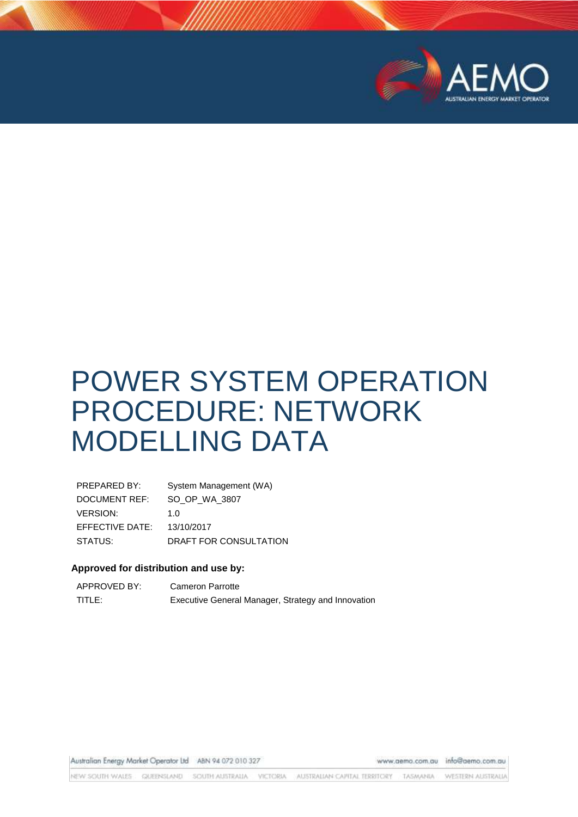

# POWER SYSTEM OPERATION PROCEDURE: NETWORK MODELLING DATA

| PREPARED BY:    | System Management (WA) |
|-----------------|------------------------|
| DOCUMENT REF:   | SO OP WA 3807          |
| <b>VERSION:</b> | 1 N                    |
| EFFECTIVE DATE: | 13/10/2017             |
| STATUS:         | DRAFT FOR CONSULTATION |

# **Approved for distribution and use by:**

| APPROVED BY: | <b>Cameron Parrotte</b>                            |
|--------------|----------------------------------------------------|
| TITLE:       | Executive General Manager, Strategy and Innovation |

Australian Energy Market Operator Ltd ABN 94 072 010 327

www.aema.com.au info@aemo.com.au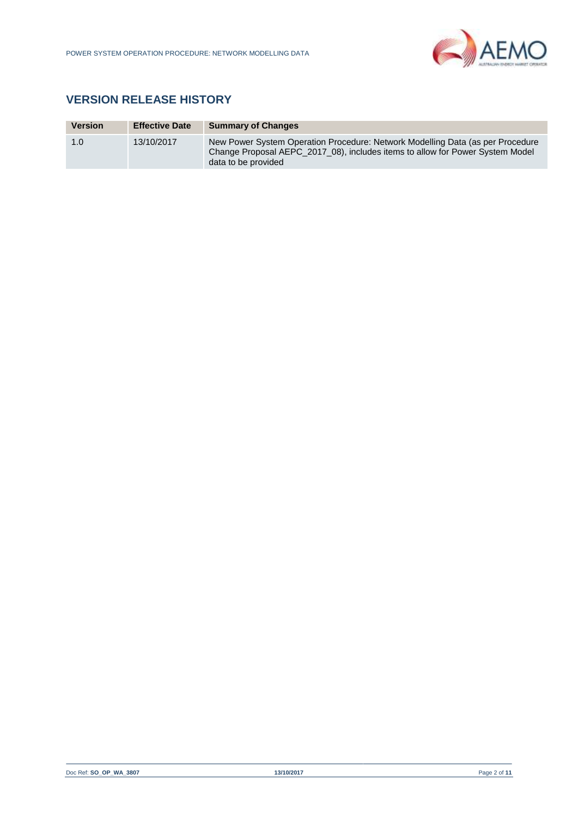

# **VERSION RELEASE HISTORY**

| <b>Version</b> | <b>Effective Date</b> | <b>Summary of Changes</b>                                                                                                                                                              |
|----------------|-----------------------|----------------------------------------------------------------------------------------------------------------------------------------------------------------------------------------|
| 1.0            | 13/10/2017            | New Power System Operation Procedure: Network Modelling Data (as per Procedure<br>Change Proposal AEPC 2017 08), includes items to allow for Power System Model<br>data to be provided |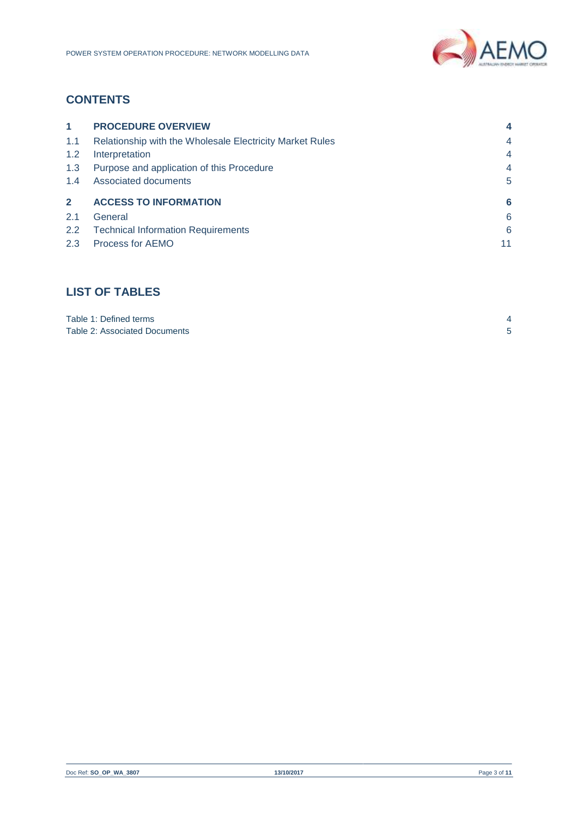

# **CONTENTS**

| $\blacktriangleleft$ | <b>PROCEDURE OVERVIEW</b>                                | 4              |
|----------------------|----------------------------------------------------------|----------------|
| 1.1                  | Relationship with the Wholesale Electricity Market Rules | $\overline{4}$ |
| 1.2                  | Interpretation                                           | $\overline{4}$ |
| 1.3                  | Purpose and application of this Procedure                | 4              |
| 1.4                  | Associated documents                                     | 5              |
| $\overline{2}$       | <b>ACCESS TO INFORMATION</b>                             | 6              |
| 2.1                  | General                                                  | 6              |
| 2.2                  | <b>Technical Information Requirements</b>                | 6              |
| 2.3                  | Process for AEMO                                         | 11             |

# **LIST OF TABLES**

| Table 1: Defined terms        |  |
|-------------------------------|--|
| Table 2: Associated Documents |  |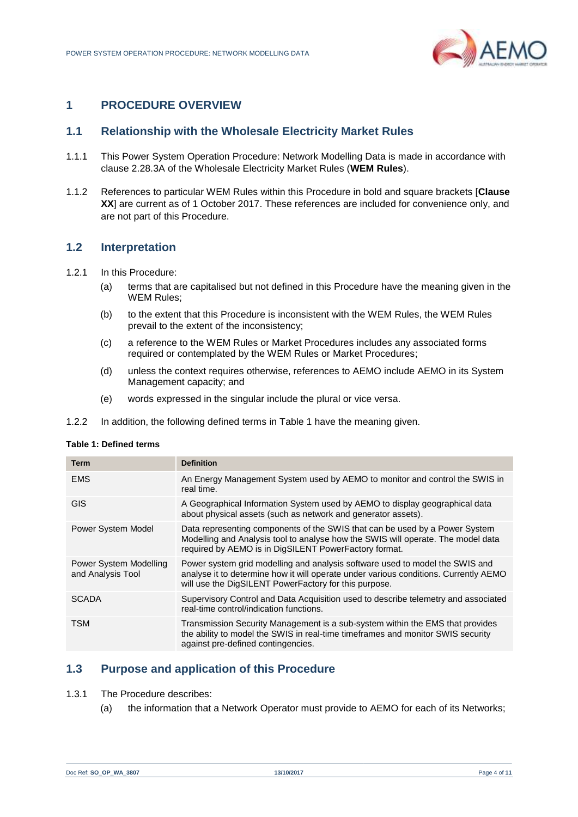

# <span id="page-3-0"></span>**1 PROCEDURE OVERVIEW**

# <span id="page-3-1"></span>**1.1 Relationship with the Wholesale Electricity Market Rules**

- 1.1.1 This Power System Operation Procedure: Network Modelling Data is made in accordance with clause 2.28.3A of the Wholesale Electricity Market Rules (**WEM Rules**).
- 1.1.2 References to particular WEM Rules within this Procedure in bold and square brackets [**Clause XX**] are current as of 1 October 2017. These references are included for convenience only, and are not part of this Procedure.

# <span id="page-3-2"></span>**1.2 Interpretation**

- 1.2.1 In this Procedure:
	- (a) terms that are capitalised but not defined in this Procedure have the meaning given in the WEM Rules;
	- (b) to the extent that this Procedure is inconsistent with the WEM Rules, the WEM Rules prevail to the extent of the inconsistency;
	- (c) a reference to the WEM Rules or Market Procedures includes any associated forms required or contemplated by the WEM Rules or Market Procedures;
	- (d) unless the context requires otherwise, references to AEMO include AEMO in its System Management capacity; and
	- (e) words expressed in the singular include the plural or vice versa.
- 1.2.2 In addition, the following defined terms in [Table 1](#page-3-4) have the meaning given.

#### <span id="page-3-4"></span>**Table 1: Defined terms**

| <b>Term</b>                                 | <b>Definition</b>                                                                                                                                                                                                             |
|---------------------------------------------|-------------------------------------------------------------------------------------------------------------------------------------------------------------------------------------------------------------------------------|
| <b>EMS</b>                                  | An Energy Management System used by AEMO to monitor and control the SWIS in<br>real time.                                                                                                                                     |
| <b>GIS</b>                                  | A Geographical Information System used by AEMO to display geographical data<br>about physical assets (such as network and generator assets).                                                                                  |
| <b>Power System Model</b>                   | Data representing components of the SWIS that can be used by a Power System<br>Modelling and Analysis tool to analyse how the SWIS will operate. The model data<br>required by AEMO is in DigSILENT PowerFactory format.      |
| Power System Modelling<br>and Analysis Tool | Power system grid modelling and analysis software used to model the SWIS and<br>analyse it to determine how it will operate under various conditions. Currently AEMO<br>will use the DigSILENT PowerFactory for this purpose. |
| <b>SCADA</b>                                | Supervisory Control and Data Acquisition used to describe telemetry and associated<br>real-time control/indication functions.                                                                                                 |
| <b>TSM</b>                                  | Transmission Security Management is a sub-system within the EMS that provides<br>the ability to model the SWIS in real-time timeframes and monitor SWIS security<br>against pre-defined contingencies.                        |

# <span id="page-3-3"></span>**1.3 Purpose and application of this Procedure**

- 1.3.1 The Procedure describes:
	- (a) the information that a Network Operator must provide to AEMO for each of its Networks;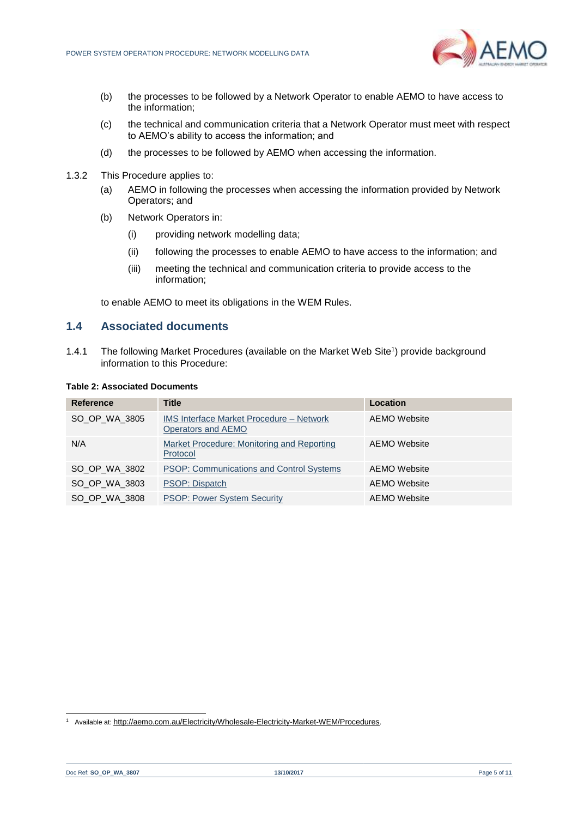

- (b) the processes to be followed by a Network Operator to enable AEMO to have access to the information;
- (c) the technical and communication criteria that a Network Operator must meet with respect to AEMO's ability to access the information; and
- (d) the processes to be followed by AEMO when accessing the information.
- 1.3.2 This Procedure applies to:
	- (a) AEMO in following the processes when accessing the information provided by Network Operators; and
	- (b) Network Operators in:
		- (i) providing network modelling data;
		- (ii) following the processes to enable AEMO to have access to the information; and
		- (iii) meeting the technical and communication criteria to provide access to the information;

to enable AEMO to meet its obligations in the WEM Rules.

# <span id="page-4-0"></span>**1.4 Associated documents**

1.4.1 The following Market Procedures (available on the Market Web Site<sup>1</sup>) provide background information to this Procedure:

#### <span id="page-4-1"></span>**Table 2: Associated Documents**

| <b>Reference</b> | <b>Title</b>                                                          | Location            |
|------------------|-----------------------------------------------------------------------|---------------------|
| SO OP WA 3805    | <b>IMS Interface Market Procedure – Network</b><br>Operators and AEMO | AEMO Website        |
| N/A              | Market Procedure: Monitoring and Reporting<br>Protocol                | AEMO Website        |
| SO OP WA 3802    | <b>PSOP: Communications and Control Systems</b>                       | AEMO Website        |
| SO OP WA 3803    | PSOP: Dispatch                                                        | AEMO Website        |
| SO OP WA 3808    | <b>PSOP: Power System Security</b>                                    | <b>AEMO</b> Website |

l

<sup>&</sup>lt;sup>1</sup> Available at: <http://aemo.com.au/Electricity/Wholesale-Electricity-Market-WEM/Procedures>.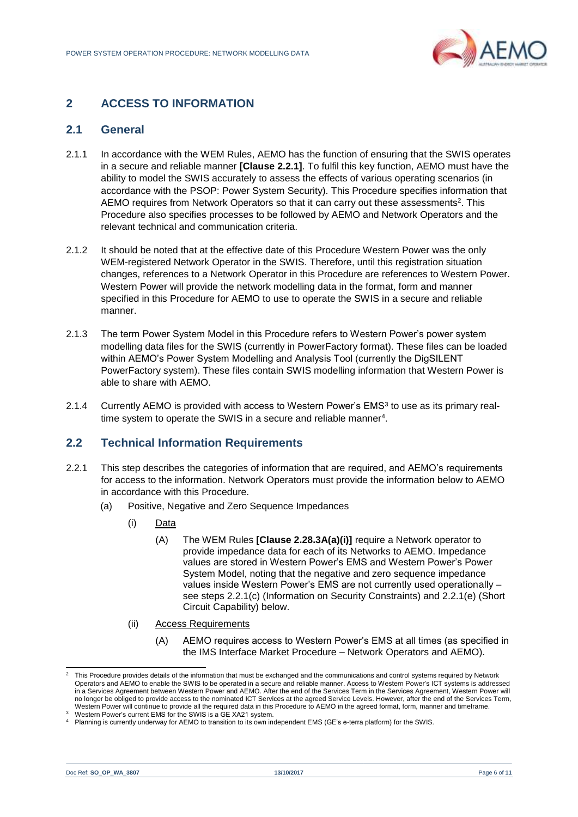

# <span id="page-5-0"></span>**2 ACCESS TO INFORMATION**

## <span id="page-5-1"></span>**2.1 General**

- 2.1.1 In accordance with the WEM Rules, AEMO has the function of ensuring that the SWIS operates in a secure and reliable manner **[Clause 2.2.1]**. To fulfil this key function, AEMO must have the ability to model the SWIS accurately to assess the effects of various operating scenarios (in accordance with the PSOP: Power System Security). This Procedure specifies information that AEMO requires from Network Operators so that it can carry out these assessments<sup>2</sup>. This Procedure also specifies processes to be followed by AEMO and Network Operators and the relevant technical and communication criteria.
- 2.1.2 It should be noted that at the effective date of this Procedure Western Power was the only WEM-registered Network Operator in the SWIS. Therefore, until this registration situation changes, references to a Network Operator in this Procedure are references to Western Power. Western Power will provide the network modelling data in the format, form and manner specified in this Procedure for AEMO to use to operate the SWIS in a secure and reliable manner.
- 2.1.3 The term Power System Model in this Procedure refers to Western Power's power system modelling data files for the SWIS (currently in PowerFactory format). These files can be loaded within AEMO's Power System Modelling and Analysis Tool (currently the DigSILENT PowerFactory system). These files contain SWIS modelling information that Western Power is able to share with AEMO.
- 2.1.4 Currently AEMO is provided with access to Western Power's EMS<sup>3</sup> to use as its primary realtime system to operate the SWIS in a secure and reliable manner<sup>4</sup>.

# <span id="page-5-2"></span>**2.2 Technical Information Requirements**

- <span id="page-5-3"></span>2.2.1 This step describes the categories of information that are required, and AEMO's requirements for access to the information. Network Operators must provide the information below to AEMO in accordance with this Procedure.
	- (a) Positive, Negative and Zero Sequence Impedances
		- (i) Data
			- (A) The WEM Rules **[Clause 2.28.3A(a)(i)]** require a Network operator to provide impedance data for each of its Networks to AEMO. Impedance values are stored in Western Power's EMS and Western Power's Power System Model, noting that the negative and zero sequence impedance values inside Western Power's EMS are not currently used operationally – see steps [2.2.1\(c\)](#page-5-3) (Information on Security Constraints) and [2.2.1\(e\)](#page-5-3) (Short Circuit Capability) below.
		- (ii) Access Requirements
			- (A) AEMO requires access to Western Power's EMS at all times (as specified in the IMS Interface Market Procedure – Network Operators and AEMO).

l

<sup>2</sup> This Procedure provides details of the information that must be exchanged and the communications and control systems required by Network Operators and AEMO to enable the SWIS to be operated in a secure and reliable manner. Access to Western Power's ICT systems is addressed in a Services Agreement between Western Power and AEMO. After the end of the Services Term in the Services Agreement, Western Power will no longer be obliged to provide access to the nominated ICT Services at the agreed Service Levels. However, after the end of the Services Term, Western Power will continue to provide all the required data in this Procedure to AEMO in the agreed format, form, manner and timeframe.

<sup>3</sup> Western Power's current EMS for the SWIS is a GE XA21 system.

<sup>4</sup> Planning is currently underway for AEMO to transition to its own independent EMS (GE's e-terra platform) for the SWIS.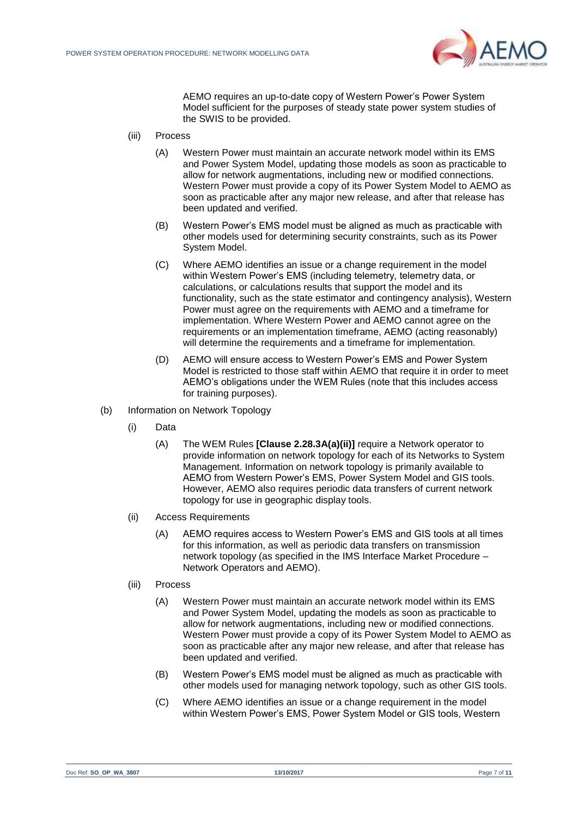

AEMO requires an up-to-date copy of Western Power's Power System Model sufficient for the purposes of steady state power system studies of the SWIS to be provided.

- (iii) Process
	- (A) Western Power must maintain an accurate network model within its EMS and Power System Model, updating those models as soon as practicable to allow for network augmentations, including new or modified connections. Western Power must provide a copy of its Power System Model to AEMO as soon as practicable after any major new release, and after that release has been updated and verified.
	- (B) Western Power's EMS model must be aligned as much as practicable with other models used for determining security constraints, such as its Power System Model.
	- (C) Where AEMO identifies an issue or a change requirement in the model within Western Power's EMS (including telemetry, telemetry data, or calculations, or calculations results that support the model and its functionality, such as the state estimator and contingency analysis), Western Power must agree on the requirements with AEMO and a timeframe for implementation. Where Western Power and AEMO cannot agree on the requirements or an implementation timeframe, AEMO (acting reasonably) will determine the requirements and a timeframe for implementation.
	- (D) AEMO will ensure access to Western Power's EMS and Power System Model is restricted to those staff within AEMO that require it in order to meet AEMO's obligations under the WEM Rules (note that this includes access for training purposes).
- (b) Information on Network Topology
	- (i) Data
		- (A) The WEM Rules **[Clause 2.28.3A(a)(ii)]** require a Network operator to provide information on network topology for each of its Networks to System Management. Information on network topology is primarily available to AEMO from Western Power's EMS, Power System Model and GIS tools. However, AEMO also requires periodic data transfers of current network topology for use in geographic display tools.
	- (ii) Access Requirements
		- (A) AEMO requires access to Western Power's EMS and GIS tools at all times for this information, as well as periodic data transfers on transmission network topology (as specified in the IMS Interface Market Procedure – Network Operators and AEMO).
	- (iii) Process
		- (A) Western Power must maintain an accurate network model within its EMS and Power System Model, updating the models as soon as practicable to allow for network augmentations, including new or modified connections. Western Power must provide a copy of its Power System Model to AEMO as soon as practicable after any major new release, and after that release has been updated and verified.
		- (B) Western Power's EMS model must be aligned as much as practicable with other models used for managing network topology, such as other GIS tools.
		- (C) Where AEMO identifies an issue or a change requirement in the model within Western Power's EMS, Power System Model or GIS tools, Western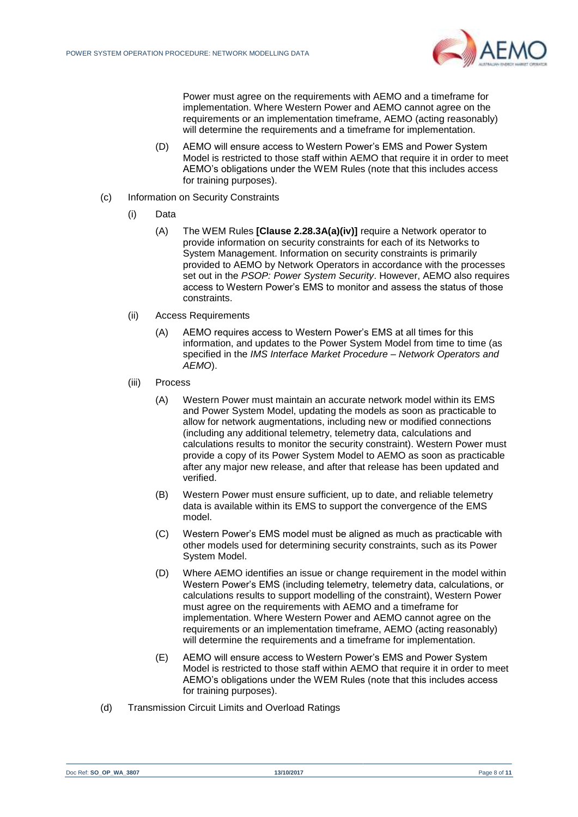

Power must agree on the requirements with AEMO and a timeframe for implementation. Where Western Power and AEMO cannot agree on the requirements or an implementation timeframe, AEMO (acting reasonably) will determine the requirements and a timeframe for implementation.

- (D) AEMO will ensure access to Western Power's EMS and Power System Model is restricted to those staff within AEMO that require it in order to meet AEMO's obligations under the WEM Rules (note that this includes access for training purposes).
- (c) Information on Security Constraints
	- (i) Data
		- (A) The WEM Rules **[Clause 2.28.3A(a)(iv)]** require a Network operator to provide information on security constraints for each of its Networks to System Management. Information on security constraints is primarily provided to AEMO by Network Operators in accordance with the processes set out in the *PSOP: Power System Security*. However, AEMO also requires access to Western Power's EMS to monitor and assess the status of those constraints.
	- (ii) Access Requirements
		- (A) AEMO requires access to Western Power's EMS at all times for this information, and updates to the Power System Model from time to time (as specified in the *IMS Interface Market Procedure – Network Operators and AEMO*).
	- (iii) Process
		- (A) Western Power must maintain an accurate network model within its EMS and Power System Model, updating the models as soon as practicable to allow for network augmentations, including new or modified connections (including any additional telemetry, telemetry data, calculations and calculations results to monitor the security constraint). Western Power must provide a copy of its Power System Model to AEMO as soon as practicable after any major new release, and after that release has been updated and verified.
		- (B) Western Power must ensure sufficient, up to date, and reliable telemetry data is available within its EMS to support the convergence of the EMS model.
		- (C) Western Power's EMS model must be aligned as much as practicable with other models used for determining security constraints, such as its Power System Model.
		- (D) Where AEMO identifies an issue or change requirement in the model within Western Power's EMS (including telemetry, telemetry data, calculations, or calculations results to support modelling of the constraint), Western Power must agree on the requirements with AEMO and a timeframe for implementation. Where Western Power and AEMO cannot agree on the requirements or an implementation timeframe, AEMO (acting reasonably) will determine the requirements and a timeframe for implementation.
		- (E) AEMO will ensure access to Western Power's EMS and Power System Model is restricted to those staff within AEMO that require it in order to meet AEMO's obligations under the WEM Rules (note that this includes access for training purposes).
- (d) Transmission Circuit Limits and Overload Ratings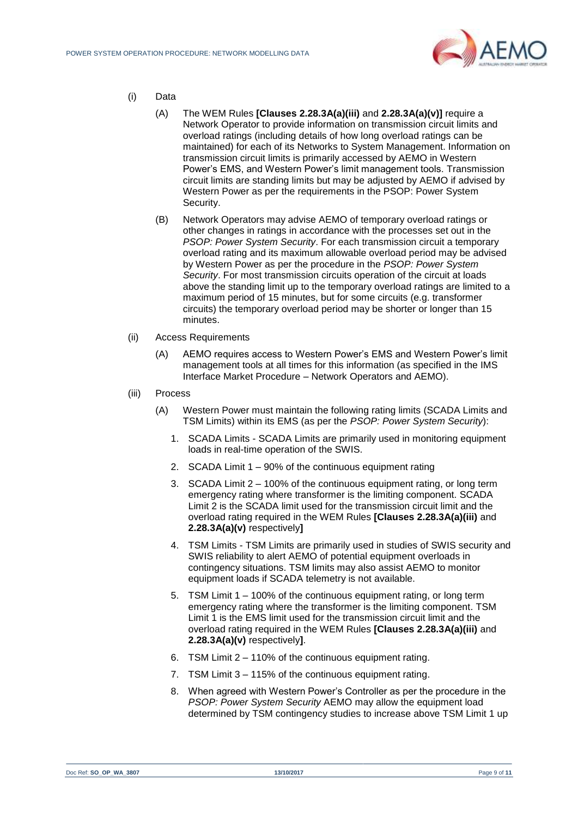

- (i) Data
	- (A) The WEM Rules **[Clauses 2.28.3A(a)(iii)** and **2.28.3A(a)(v)]** require a Network Operator to provide information on transmission circuit limits and overload ratings (including details of how long overload ratings can be maintained) for each of its Networks to System Management. Information on transmission circuit limits is primarily accessed by AEMO in Western Power's EMS, and Western Power's limit management tools. Transmission circuit limits are standing limits but may be adjusted by AEMO if advised by Western Power as per the requirements in the PSOP: Power System Security.
	- (B) Network Operators may advise AEMO of temporary overload ratings or other changes in ratings in accordance with the processes set out in the *PSOP: Power System Security*. For each transmission circuit a temporary overload rating and its maximum allowable overload period may be advised by Western Power as per the procedure in the *PSOP: Power System Security*. For most transmission circuits operation of the circuit at loads above the standing limit up to the temporary overload ratings are limited to a maximum period of 15 minutes, but for some circuits (e.g. transformer circuits) the temporary overload period may be shorter or longer than 15 minutes.
- (ii) Access Requirements
	- (A) AEMO requires access to Western Power's EMS and Western Power's limit management tools at all times for this information (as specified in the IMS Interface Market Procedure – Network Operators and AEMO).
- (iii) Process
	- (A) Western Power must maintain the following rating limits (SCADA Limits and TSM Limits) within its EMS (as per the *PSOP: Power System Security*):
		- 1. SCADA Limits SCADA Limits are primarily used in monitoring equipment loads in real-time operation of the SWIS.
		- 2. SCADA Limit 1 90% of the continuous equipment rating
		- 3. SCADA Limit 2 100% of the continuous equipment rating, or long term emergency rating where transformer is the limiting component. SCADA Limit 2 is the SCADA limit used for the transmission circuit limit and the overload rating required in the WEM Rules **[Clauses 2.28.3A(a)(iii)** and **2.28.3A(a)(v)** respectively**]**
		- 4. TSM Limits TSM Limits are primarily used in studies of SWIS security and SWIS reliability to alert AEMO of potential equipment overloads in contingency situations. TSM limits may also assist AEMO to monitor equipment loads if SCADA telemetry is not available.
		- 5. TSM Limit 1 100% of the continuous equipment rating, or long term emergency rating where the transformer is the limiting component. TSM Limit 1 is the EMS limit used for the transmission circuit limit and the overload rating required in the WEM Rules **[Clauses 2.28.3A(a)(iii)** and **2.28.3A(a)(v)** respectively**]**.
		- 6. TSM Limit 2 110% of the continuous equipment rating.
		- 7. TSM Limit 3 115% of the continuous equipment rating.
		- 8. When agreed with Western Power's Controller as per the procedure in the *PSOP: Power System Security* AEMO may allow the equipment load determined by TSM contingency studies to increase above TSM Limit 1 up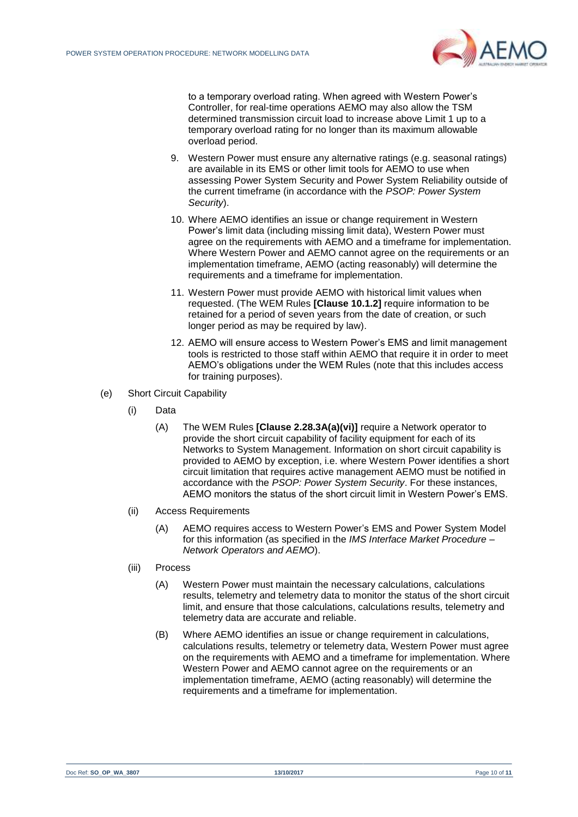

to a temporary overload rating. When agreed with Western Power's Controller, for real-time operations AEMO may also allow the TSM determined transmission circuit load to increase above Limit 1 up to a temporary overload rating for no longer than its maximum allowable overload period.

- 9. Western Power must ensure any alternative ratings (e.g. seasonal ratings) are available in its EMS or other limit tools for AEMO to use when assessing Power System Security and Power System Reliability outside of the current timeframe (in accordance with the *PSOP: Power System Security*).
- 10. Where AEMO identifies an issue or change requirement in Western Power's limit data (including missing limit data), Western Power must agree on the requirements with AEMO and a timeframe for implementation. Where Western Power and AEMO cannot agree on the requirements or an implementation timeframe, AEMO (acting reasonably) will determine the requirements and a timeframe for implementation.
- 11. Western Power must provide AEMO with historical limit values when requested. (The WEM Rules **[Clause 10.1.2]** require information to be retained for a period of seven years from the date of creation, or such longer period as may be required by law).
- 12. AEMO will ensure access to Western Power's EMS and limit management tools is restricted to those staff within AEMO that require it in order to meet AEMO's obligations under the WEM Rules (note that this includes access for training purposes).
- (e) Short Circuit Capability
	- (i) Data
		- (A) The WEM Rules **[Clause 2.28.3A(a)(vi)]** require a Network operator to provide the short circuit capability of facility equipment for each of its Networks to System Management. Information on short circuit capability is provided to AEMO by exception, i.e. where Western Power identifies a short circuit limitation that requires active management AEMO must be notified in accordance with the *PSOP: Power System Security*. For these instances, AEMO monitors the status of the short circuit limit in Western Power's EMS.
	- (ii) Access Requirements
		- (A) AEMO requires access to Western Power's EMS and Power System Model for this information (as specified in the *IMS Interface Market Procedure – Network Operators and AEMO*).
	- (iii) Process
		- (A) Western Power must maintain the necessary calculations, calculations results, telemetry and telemetry data to monitor the status of the short circuit limit, and ensure that those calculations, calculations results, telemetry and telemetry data are accurate and reliable.
		- (B) Where AEMO identifies an issue or change requirement in calculations, calculations results, telemetry or telemetry data, Western Power must agree on the requirements with AEMO and a timeframe for implementation. Where Western Power and AEMO cannot agree on the requirements or an implementation timeframe, AEMO (acting reasonably) will determine the requirements and a timeframe for implementation.